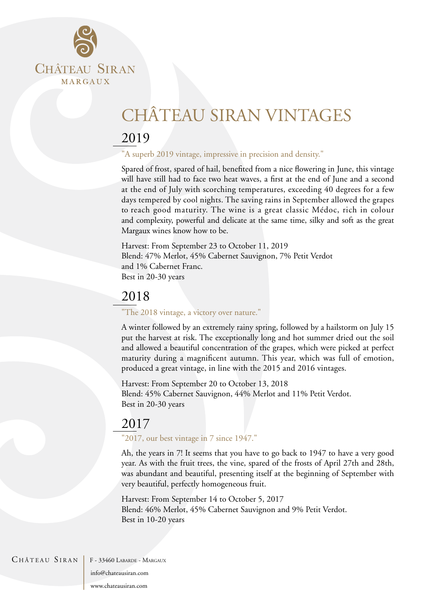

# CHÂTEAU SIRAN VINTAGES

# 2019

"A superb 2019 vintage, impressive in precision and density."

Spared of frost, spared of hail, benefited from a nice flowering in June, this vintage will have still had to face two heat waves, a first at the end of June and a second at the end of July with scorching temperatures, exceeding 40 degrees for a few days tempered by cool nights. The saving rains in September allowed the grapes to reach good maturity. The wine is a great classic Médoc, rich in colour and complexity, powerful and delicate at the same time, silky and soft as the great Margaux wines know how to be.

Harvest: From September 23 to October 11, 2019 Blend: 47% Merlot, 45% Cabernet Sauvignon, 7% Petit Verdot and 1% Cabernet Franc. Best in 20-30 years

### 2018

"The 2018 vintage, a victory over nature."

A winter followed by an extremely rainy spring, followed by a hailstorm on July 15 put the harvest at risk. The exceptionally long and hot summer dried out the soil and allowed a beautiful concentration of the grapes, which were picked at perfect maturity during a magnificent autumn. This year, which was full of emotion, produced a great vintage, in line with the 2015 and 2016 vintages.

Harvest: From September 20 to October 13, 2018 Blend: 45% Cabernet Sauvignon, 44% Merlot and 11% Petit Verdot. Best in 20-30 years

# 2017

"2017, our best vintage in 7 since 1947."

Ah, the years in 7! It seems that you have to go back to 1947 to have a very good year. As with the fruit trees, the vine, spared of the frosts of April 27th and 28th, was abundant and beautiful, presenting itself at the beginning of September with very beautiful, perfectly homogeneous fruit.

Harvest: From September 14 to October 5, 2017 Blend: 46% Merlot, 45% Cabernet Sauvignon and 9% Petit Verdot. Best in 10-20 years

CHÂTEAU SIRAN | F - 33460 LABARDE - MARGAUX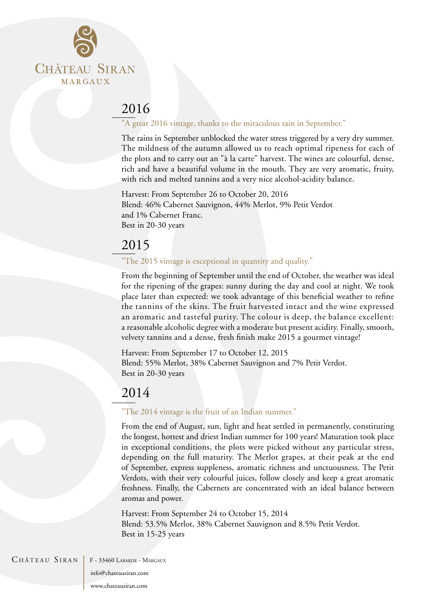

### "A great 2016 vintage, thanks to the miraculous rain in September."

The rains in September unblocked the water stress triggered by a very dry summer. The mildness of the autumn allowed us to reach optimal ripeness for each of the plots and to carry out an "à la carte" harvest. The wines are colourful, dense, rich and have a beautiful volume in the mouth. They are very aromatic, fruity, with rich and melted tannins and a very nice alcohol-acidity balance.

Harvest: From September 26 to October 20, 2016 Blend: 46% Cabernet Sauvignon, 44% Merlot, 9% Petit Verdot and 1% Cabernet Franc. Best in 20-30 years

# 2015

### "The 2015 vintage is exceptional in quantity and quality."

From the beginning of September until the end of October, the weather was ideal for the ripening of the grapes: sunny during the day and cool at night. We took place later than expected: we took advantage of this beneficial weather to refine the tannins of the skins. The fruit harvested intact and the wine expressed an aromatic and tasteful purity. The colour is deep, the balance excellent: a reasonable alcoholic degree with a moderate but present acidity. Finally, smooth, velvety tannins and a dense, fresh finish make 2015 a gourmet vintage!

Harvest: From September 17 to October 12, 2015 Blend: 55% Merlot, 38% Cabernet Sauvignon and 7% Petit Verdot. Best in 20-30 years

# 2014

### "The 2014 vintage is the fruit of an Indian summer."

From the end of August, sun, light and heat settled in permanently, constituting the longest, hottest and driest Indian summer for 100 years! Maturation took place in exceptional conditions, the plots were picked without any particular stress, depending on the full maturity. The Merlot grapes, at their peak at the end of September, express suppleness, aromatic richness and unctuousness. The Petit Verdots, with their very colourful juices, follow closely and keep a great aromatic freshness. Finally, the Cabernets are concentrated with an ideal balance between aromas and power.

Harvest: From September 24 to October 15, 2014 Blend: 53.5% Merlot, 38% Cabernet Sauvignon and 8.5% Petit Verdot. Best in 15-25 years



 $CH\hat{A}TEAU$   $SIRAN$   $F-33460$  Labarde - Margaux

info@chateausiran.com

www.chateausiran.com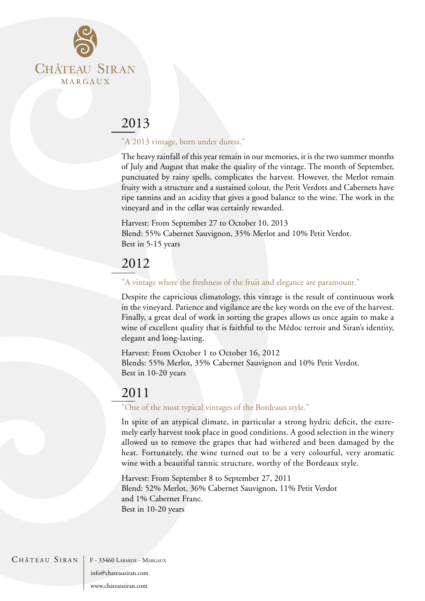

### "A 2013 vintage, born under duress."

The heavy rainfall of this year remain in our memories, it is the two summer months of July and August that make the quality of the vintage. The month of September, punctuated by rainy spells, complicates the harvest. However, the Merlot remain fruity with a structure and a sustained colour, the Petit Verdots and Cabernets have ripe tannins and an acidity that gives a good balance to the wine. The work in the vineyard and in the cellar was certainly rewarded.

Harvest: From September 27 to October 10, 2013 Blend: 55% Cabernet Sauvignon, 35% Merlot and 10% Petit Verdot. Best in 5-15 years

# 2012

### "A vintage where the freshness of the fruit and elegance are paramount."

Despite the capricious climatology, this vintage is the result of continuous work in the vineyard. Patience and vigilance are the key words on the eve of the harvest. Finally, a great deal of work in sorting the grapes allows us once again to make a wine of excellent quality that is faithful to the Médoc terroir and Siran's identity, elegant and long-lasting.

Harvest: From October 1 to October 16, 2012 Blends: 55% Merlot, 35% Cabernet Sauvignon and 10% Petit Verdot. Best in 10-20 years

### 2011

#### "One of the most typical vintages of the Bordeaux style."

In spite of an atypical climate, in particular a strong hydric deficit, the extremely early harvest took place in good conditions. A good selection in the winery allowed us to remove the grapes that had withered and been damaged by the heat. Fortunately, the wine turned out to be a very colourful, very aromatic wine with a beautiful tannic structure, worthy of the Bordeaux style.

Harvest: From September 8 to September 27, 2011 Blend: 52% Merlot, 36% Cabernet Sauvignon, 11% Petit Verdot and 1% Cabernet Franc. Best in 10-20 years

CHÂTEAU SIRAN | F - 33460 LABARDE - MARGAUX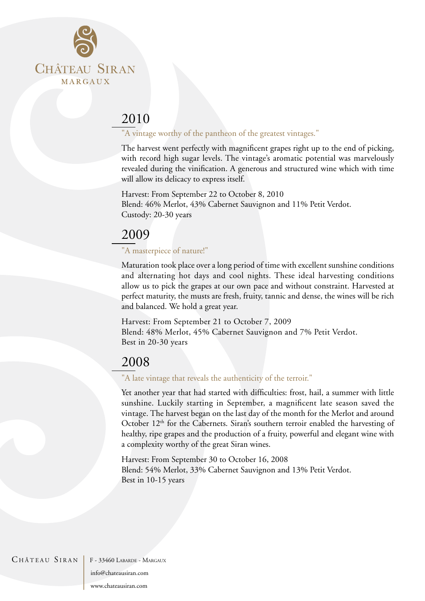

### "A vintage worthy of the pantheon of the greatest vintages."

The harvest went perfectly with magnificent grapes right up to the end of picking, with record high sugar levels. The vintage's aromatic potential was marvelously revealed during the vinification. A generous and structured wine which with time will allow its delicacy to express itself.

Harvest: From September 22 to October 8, 2010 Blend: 46% Merlot, 43% Cabernet Sauvignon and 11% Petit Verdot. Custody: 20-30 years

# 2009

### "A masterpiece of nature!"

Maturation took place over a long period of time with excellent sunshine conditions and alternating hot days and cool nights. These ideal harvesting conditions allow us to pick the grapes at our own pace and without constraint. Harvested at perfect maturity, the musts are fresh, fruity, tannic and dense, the wines will be rich and balanced. We hold a great year.

Harvest: From September 21 to October 7, 2009 Blend: 48% Merlot, 45% Cabernet Sauvignon and 7% Petit Verdot. Best in 20-30 years

# 2008

### "A late vintage that reveals the authenticity of the terroir."

Yet another year that had started with difficulties: frost, hail, a summer with little sunshine. Luckily starting in September, a magnificent late season saved the vintage. The harvest began on the last day of the month for the Merlot and around October  $12<sup>th</sup>$  for the Cabernets. Siran's southern terroir enabled the harvesting of healthy, ripe grapes and the production of a fruity, powerful and elegant wine with a complexity worthy of the great Siran wines.

Harvest: From September 30 to October 16, 2008 Blend: 54% Merlot, 33% Cabernet Sauvignon and 13% Petit Verdot. Best in 10-15 years

CHÂTEAU SIRAN | F - 33460 LABARDE - MARGAUX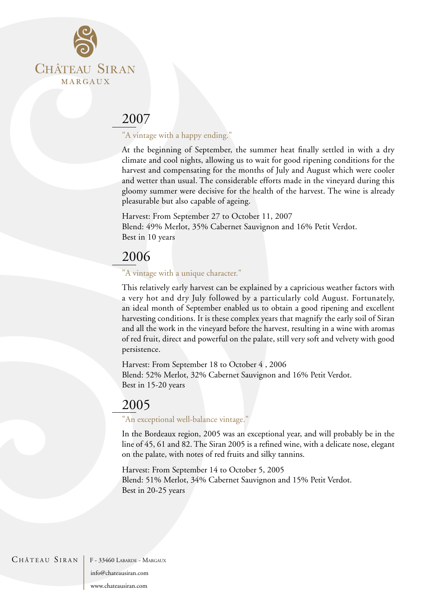

### "A vintage with a happy ending."

At the beginning of September, the summer heat finally settled in with a dry climate and cool nights, allowing us to wait for good ripening conditions for the harvest and compensating for the months of July and August which were cooler and wetter than usual. The considerable efforts made in the vineyard during this gloomy summer were decisive for the health of the harvest. The wine is already pleasurable but also capable of ageing.

Harvest: From September 27 to October 11, 2007 Blend: 49% Merlot, 35% Cabernet Sauvignon and 16% Petit Verdot. Best in 10 years

# 2006

### "A vintage with a unique character."

This relatively early harvest can be explained by a capricious weather factors with a very hot and dry July followed by a particularly cold August. Fortunately, an ideal month of September enabled us to obtain a good ripening and excellent harvesting conditions. It is these complex years that magnify the early soil of Siran and all the work in the vineyard before the harvest, resulting in a wine with aromas of red fruit, direct and powerful on the palate, still very soft and velvety with good persistence.

Harvest: From September 18 to October 4 , 2006 Blend: 52% Merlot, 32% Cabernet Sauvignon and 16% Petit Verdot. Best in 15-20 years

# 2005

#### "An exceptional well-balance vintage."

In the Bordeaux region, 2005 was an exceptional year, and will probably be in the line of 45, 61 and 82. The Siran 2005 is a refined wine, with a delicate nose, elegant on the palate, with notes of red fruits and silky tannins.

Harvest: From September 14 to October 5, 2005 Blend: 51% Merlot, 34% Cabernet Sauvignon and 15% Petit Verdot. Best in 20-25 years

CHÂTEAU SIRAN | F - 33460 LABARDE - MARGAUX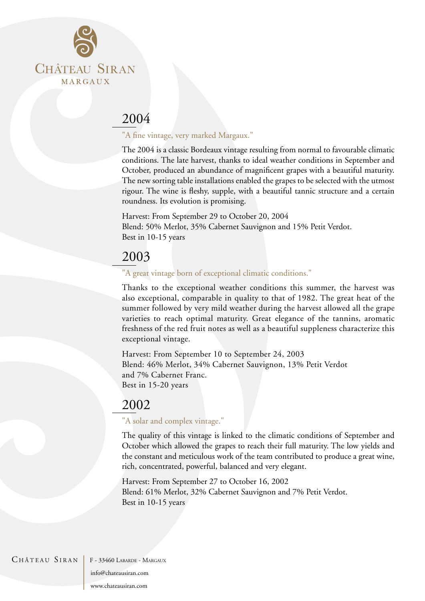

### "A fine vintage, very marked Margaux."

The 2004 is a classic Bordeaux vintage resulting from normal to favourable climatic conditions. The late harvest, thanks to ideal weather conditions in September and October, produced an abundance of magnificent grapes with a beautiful maturity. The new sorting table installations enabled the grapes to be selected with the utmost rigour. The wine is fleshy, supple, with a beautiful tannic structure and a certain roundness. Its evolution is promising.

Harvest: From September 29 to October 20, 2004 Blend: 50% Merlot, 35% Cabernet Sauvignon and 15% Petit Verdot. Best in 10-15 years

# 2003

#### "A great vintage born of exceptional climatic conditions."

Thanks to the exceptional weather conditions this summer, the harvest was also exceptional, comparable in quality to that of 1982. The great heat of the summer followed by very mild weather during the harvest allowed all the grape varieties to reach optimal maturity. Great elegance of the tannins, aromatic freshness of the red fruit notes as well as a beautiful suppleness characterize this exceptional vintage.

Harvest: From September 10 to September 24, 2003 Blend: 46% Merlot, 34% Cabernet Sauvignon, 13% Petit Verdot and 7% Cabernet Franc. Best in 15-20 years

# 2002

#### "A solar and complex vintage."

The quality of this vintage is linked to the climatic conditions of September and October which allowed the grapes to reach their full maturity. The low yields and the constant and meticulous work of the team contributed to produce a great wine, rich, concentrated, powerful, balanced and very elegant.

Harvest: From September 27 to October 16, 2002 Blend: 61% Merlot, 32% Cabernet Sauvignon and 7% Petit Verdot. Best in 10-15 years

CHÂTEAU SIRAN | F - 33460 LABARDE - MARGAUX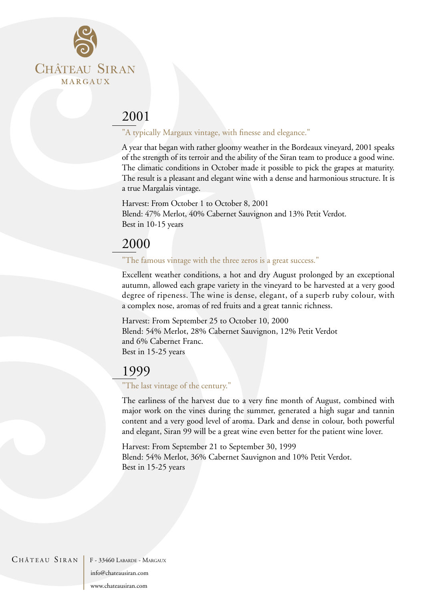

### "A typically Margaux vintage, with finesse and elegance."

A year that began with rather gloomy weather in the Bordeaux vineyard, 2001 speaks of the strength of its terroir and the ability of the Siran team to produce a good wine. The climatic conditions in October made it possible to pick the grapes at maturity. The result is a pleasant and elegant wine with a dense and harmonious structure. It is a true Margalais vintage.

Harvest: From October 1 to October 8, 2001 Blend: 47% Merlot, 40% Cabernet Sauvignon and 13% Petit Verdot. Best in 10-15 years

# 2000

#### "The famous vintage with the three zeros is a great success."

Excellent weather conditions, a hot and dry August prolonged by an exceptional autumn, allowed each grape variety in the vineyard to be harvested at a very good degree of ripeness. The wine is dense, elegant, of a superb ruby colour, with a complex nose, aromas of red fruits and a great tannic richness.

Harvest: From September 25 to October 10, 2000 Blend: 54% Merlot, 28% Cabernet Sauvignon, 12% Petit Verdot and 6% Cabernet Franc. Best in 15-25 years

### 1999

#### "The last vintage of the century."

The earliness of the harvest due to a very fine month of August, combined with major work on the vines during the summer, generated a high sugar and tannin content and a very good level of aroma. Dark and dense in colour, both powerful and elegant, Siran 99 will be a great wine even better for the patient wine lover.

Harvest: From September 21 to September 30, 1999 Blend: 54% Merlot, 36% Cabernet Sauvignon and 10% Petit Verdot. Best in 15-25 years

#### CHÂTEAU SIRAN | F - 33460 LABARDE - MARGAUX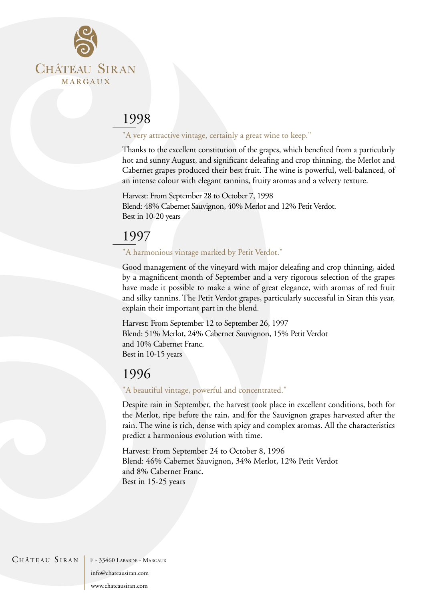

### "A very attractive vintage, certainly a great wine to keep."

Thanks to the excellent constitution of the grapes, which benefited from a particularly hot and sunny August, and significant deleafing and crop thinning, the Merlot and Cabernet grapes produced their best fruit. The wine is powerful, well-balanced, of an intense colour with elegant tannins, fruity aromas and a velvety texture.

Harvest: From September 28 to October 7, 1998 Blend: 48% Cabernet Sauvignon, 40% Merlot and 12% Petit Verdot. Best in 10-20 years

### 1997

### "A harmonious vintage marked by Petit Verdot."

Good management of the vineyard with major deleafing and crop thinning, aided by a magnificent month of September and a very rigorous selection of the grapes have made it possible to make a wine of great elegance, with aromas of red fruit and silky tannins. The Petit Verdot grapes, particularly successful in Siran this year, explain their important part in the blend.

Harvest: From September 12 to September 26, 1997 Blend: 51% Merlot, 24% Cabernet Sauvignon, 15% Petit Verdot and 10% Cabernet Franc. Best in 10-15 years

# 1996

#### "A beautiful vintage, powerful and concentrated."

Despite rain in September, the harvest took place in excellent conditions, both for the Merlot, ripe before the rain, and for the Sauvignon grapes harvested after the rain. The wine is rich, dense with spicy and complex aromas. All the characteristics predict a harmonious evolution with time.

Harvest: From September 24 to October 8, 1996 Blend: 46% Cabernet Sauvignon, 34% Merlot, 12% Petit Verdot and 8% Cabernet Franc. Best in 15-25 years

#### CHÂTEAU SIRAN F - 33460 LABARDE - MARGAUX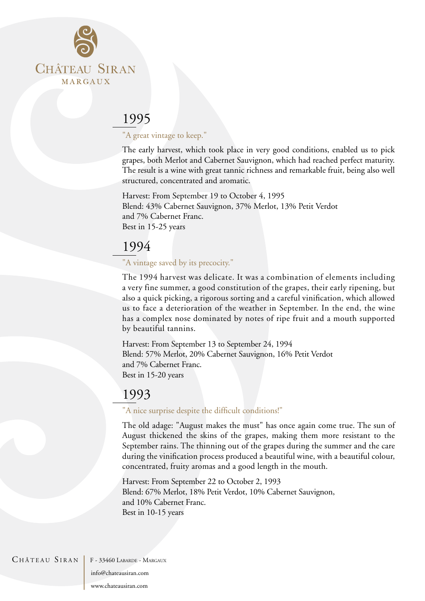

### "A great vintage to keep."

The early harvest, which took place in very good conditions, enabled us to pick grapes, both Merlot and Cabernet Sauvignon, which had reached perfect maturity. The result is a wine with great tannic richness and remarkable fruit, being also well structured, concentrated and aromatic.

Harvest: From September 19 to October 4, 1995 Blend: 43% Cabernet Sauvignon, 37% Merlot, 13% Petit Verdot and 7% Cabernet Franc. Best in 15-25 years

# 1994

### "A vintage saved by its precocity."

The 1994 harvest was delicate. It was a combination of elements including a very fine summer, a good constitution of the grapes, their early ripening, but also a quick picking, a rigorous sorting and a careful vinification, which allowed us to face a deterioration of the weather in September. In the end, the wine has a complex nose dominated by notes of ripe fruit and a mouth supported by beautiful tannins.

Harvest: From September 13 to September 24, 1994 Blend: 57% Merlot, 20% Cabernet Sauvignon, 16% Petit Verdot and 7% Cabernet Franc. Best in 15-20 years

# 1993

#### "A nice surprise despite the difficult conditions!"

The old adage: "August makes the must" has once again come true. The sun of August thickened the skins of the grapes, making them more resistant to the September rains. The thinning out of the grapes during the summer and the care during the vinification process produced a beautiful wine, with a beautiful colour, concentrated, fruity aromas and a good length in the mouth.

Harvest: From September 22 to October 2, 1993 Blend: 67% Merlot, 18% Petit Verdot, 10% Cabernet Sauvignon, and 10% Cabernet Franc. Best in 10-15 years

CHÂTEAU SIRAN | F - 33460 LABARDE - MARGAUX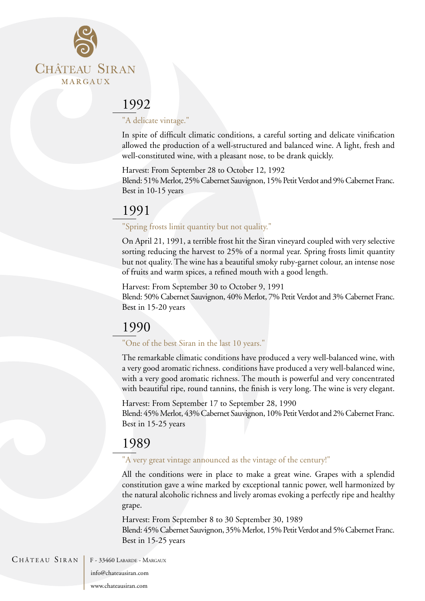

### "A delicate vintage."

In spite of difficult climatic conditions, a careful sorting and delicate vinification allowed the production of a well-structured and balanced wine. A light, fresh and well-constituted wine, with a pleasant nose, to be drank quickly.

Harvest: From September 28 to October 12, 1992 Blend: 51% Merlot, 25% Cabernet Sauvignon, 15% Petit Verdot and 9% Cabernet Franc. Best in 10-15 years

# 1991

### "Spring frosts limit quantity but not quality."

On April 21, 1991, a terrible frost hit the Siran vineyard coupled with very selective sorting reducing the harvest to 25% of a normal year. Spring frosts limit quantity but not quality. The wine has a beautiful smoky ruby-garnet colour, an intense nose of fruits and warm spices, a refined mouth with a good length.

Harvest: From September 30 to October 9, 1991

Blend: 50% Cabernet Sauvignon, 40% Merlot, 7% Petit Verdot and 3% Cabernet Franc. Best in 15-20 years

# 1990

### "One of the best Siran in the last 10 years."

The remarkable climatic conditions have produced a very well-balanced wine, with a very good aromatic richness. conditions have produced a very well-balanced wine, with a very good aromatic richness. The mouth is powerful and very concentrated with beautiful ripe, round tannins, the finish is very long. The wine is very elegant.

Harvest: From September 17 to September 28, 1990 Blend: 45% Merlot, 43% Cabernet Sauvignon, 10% Petit Verdot and 2% Cabernet Franc. Best in 15-25 years

# 1989

### "A very great vintage announced as the vintage of the century!"

All the conditions were in place to make a great wine. Grapes with a splendid constitution gave a wine marked by exceptional tannic power, well harmonized by the natural alcoholic richness and lively aromas evoking a perfectly ripe and healthy grape.

Harvest: From September 8 to 30 September 30, 1989 Blend: 45% Cabernet Sauvignon, 35% Merlot, 15% Petit Verdot and 5% Cabernet Franc. Best in 15-25 years

CHÂTEAU SIRAN F - 33460 LABARDE - MARGAUX

info@chateausiran.com

www.chateausiran.com